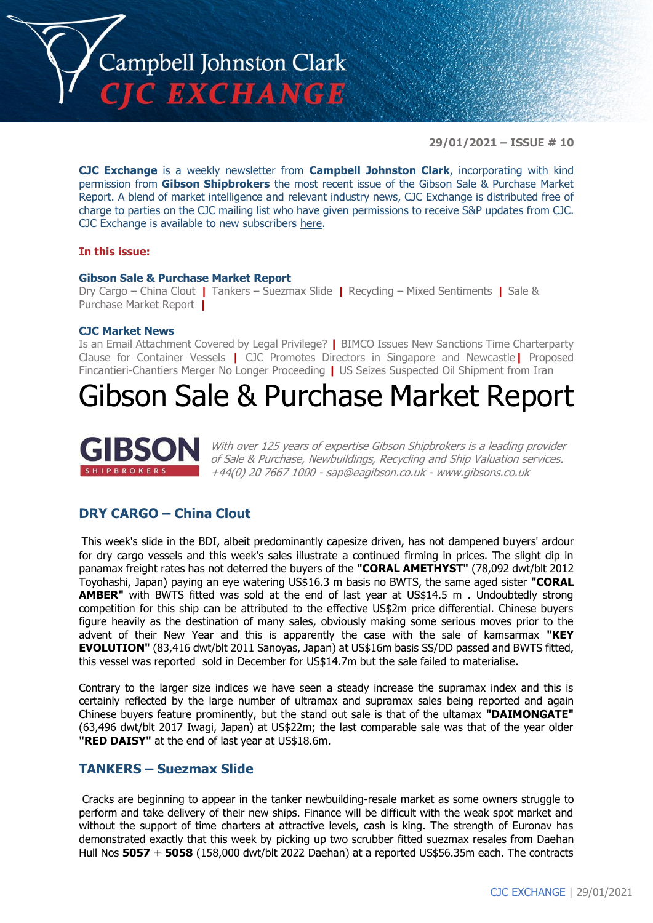

**29/01/2021 – ISSUE # 10**

**CJC Exchange** is a weekly newsletter from **Campbell Johnston Clark**, incorporating with kind permission from **Gibson Shipbrokers** the most recent issue of the Gibson Sale & Purchase Market Report. A blend of market intelligence and relevant industry news, CJC Exchange is distributed free of charge to parties on the CJC mailing list who have given permissions to receive S&P updates from CJC. CJC Exchange is available to new subscribers [here.](mailto:jamesc@cjclaw.com?subject=CJC%20Exchange%20sign-up)

#### **In this issue:**

#### **Gibson Sale & Purchase Market Report**

Dry Cargo – China Clout **|** Tankers – Suezmax Slide **|** Recycling – Mixed Sentiments **|** Sale & Purchase Market Report **|**

#### **CJC Market News**

Is an Email Attachment Covered by Legal Privilege? **|** BIMCO Issues New Sanctions Time Charterparty Clause for Container Vessels **|** CJC Promotes Directors in Singapore and Newcastle**|** Proposed Fincantieri-Chantiers Merger No Longer Proceeding **|** US Seizes Suspected Oil Shipment from Iran

# Gibson Sale & Purchase Market Report



With over 125 years of expertise Gibson Shipbrokers is a leading provider of Sale & Purchase, Newbuildings, Recycling and Ship Valuation services. +44(0) 20 7667 1000 - [sap@eagibson.co.uk](mailto:sap@eagibson.co.uk) - [www.gibsons.co.uk](https://protect-eu.mimecast.com/s/VO6nCGZzRS60KqcK1jQh/)

## **DRY CARGO – China Clout**

This week's slide in the BDI, albeit predominantly capesize driven, has not dampened buyers' ardour for dry cargo vessels and this week's sales illustrate a continued firming in prices. The slight dip in panamax freight rates has not deterred the buyers of the **"CORAL AMETHYST"** (78,092 dwt/blt 2012 Toyohashi, Japan) paying an eye watering US\$16.3 m basis no BWTS, the same aged sister **"CORAL AMBER"** with BWTS fitted was sold at the end of last year at US\$14.5 m . Undoubtedly strong competition for this ship can be attributed to the effective US\$2m price differential. Chinese buyers figure heavily as the destination of many sales, obviously making some serious moves prior to the advent of their New Year and this is apparently the case with the sale of kamsarmax **"KEY EVOLUTION"** (83,416 dwt/blt 2011 Sanoyas, Japan) at US\$16m basis SS/DD passed and BWTS fitted, this vessel was reported sold in December for US\$14.7m but the sale failed to materialise.

Contrary to the larger size indices we have seen a steady increase the supramax index and this is certainly reflected by the large number of ultramax and supramax sales being reported and again Chinese buyers feature prominently, but the stand out sale is that of the ultamax **"DAIMONGATE"** (63,496 dwt/blt 2017 Iwagi, Japan) at US\$22m; the last comparable sale was that of the year older **"RED DAISY"** at the end of last year at US\$18.6m.

### **TANKERS – Suezmax Slide**

Cracks are beginning to appear in the tanker newbuilding-resale market as some owners struggle to perform and take delivery of their new ships. Finance will be difficult with the weak spot market and without the support of time charters at attractive levels, cash is king. The strength of Euronav has demonstrated exactly that this week by picking up two scrubber fitted suezmax resales from Daehan Hull Nos **5057** + **5058** (158,000 dwt/blt 2022 Daehan) at a reported US\$56.35m each. The contracts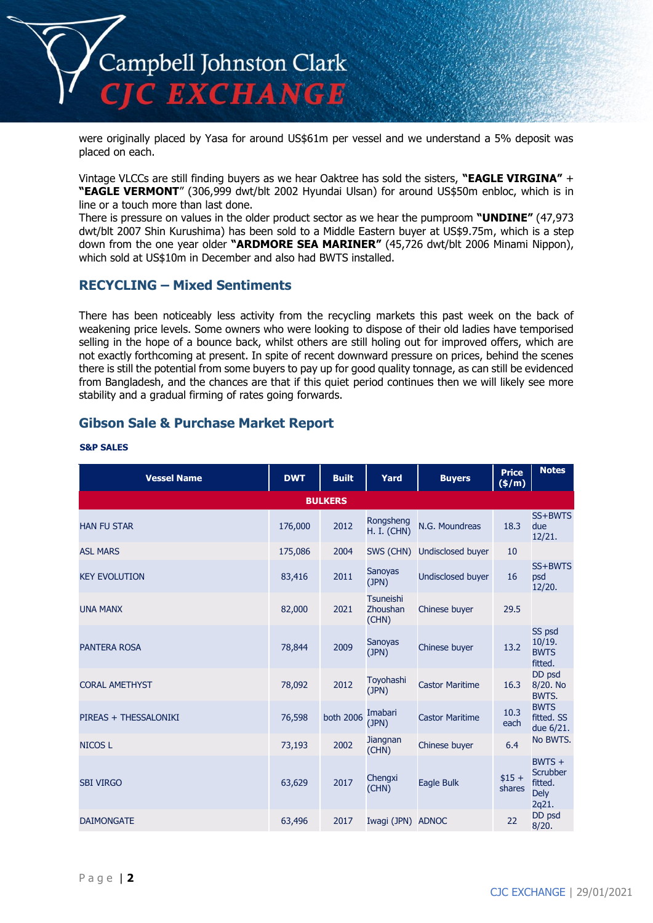

were originally placed by Yasa for around US\$61m per vessel and we understand a 5% deposit was placed on each.

Vintage VLCCs are still finding buyers as we hear Oaktree has sold the sisters, **"EAGLE VIRGINA"** + **"EAGLE VERMONT**" (306,999 dwt/blt 2002 Hyundai Ulsan) for around US\$50m enbloc, which is in line or a touch more than last done.

There is pressure on values in the older product sector as we hear the pumproom **"UNDINE"** (47,973 dwt/blt 2007 Shin Kurushima) has been sold to a Middle Eastern buyer at US\$9.75m, which is a step down from the one year older **"ARDMORE SEA MARINER"** (45,726 dwt/blt 2006 Minami Nippon), which sold at US\$10m in December and also had BWTS installed.

# **RECYCLING – Mixed Sentiments**

There has been noticeably less activity from the recycling markets this past week on the back of weakening price levels. Some owners who were looking to dispose of their old ladies have temporised selling in the hope of a bounce back, whilst others are still holing out for improved offers, which are not exactly forthcoming at present. In spite of recent downward pressure on prices, behind the scenes there is still the potential from some buyers to pay up for good quality tonnage, as can still be evidenced from Bangladesh, and the chances are that if this quiet period continues then we will likely see more stability and a gradual firming of rates going forwards.

# **Gibson Sale & Purchase Market Report**

| <b>Vessel Name</b>    | <b>DWT</b> | <b>Built</b>   | Yard                            | <b>Buyers</b>            | <b>Price</b><br>$(\frac{\epsilon}{m})$ | <b>Notes</b>                                                   |
|-----------------------|------------|----------------|---------------------------------|--------------------------|----------------------------------------|----------------------------------------------------------------|
|                       |            | <b>BULKERS</b> |                                 |                          |                                        |                                                                |
| <b>HAN FU STAR</b>    | 176,000    | 2012           | Rongsheng<br><b>H. I. (CHN)</b> | N.G. Moundreas           | 18.3                                   | SS+BWTS<br>due<br>12/21.                                       |
| <b>ASL MARS</b>       | 175,086    | 2004           | SWS (CHN)                       | <b>Undisclosed buyer</b> | 10                                     |                                                                |
| <b>KEY EVOLUTION</b>  | 83,416     | 2011           | <b>Sanoyas</b><br>(JPN)         | <b>Undisclosed buyer</b> | 16                                     | SS+BWTS<br>psd<br>12/20.                                       |
| <b>UNA MANX</b>       | 82,000     | 2021           | Tsuneishi<br>Zhoushan<br>(CHN)  | Chinese buyer            | 29.5                                   |                                                                |
| <b>PANTERA ROSA</b>   | 78,844     | 2009           | <b>Sanoyas</b><br>(JPN)         | Chinese buyer            | 13.2                                   | SS psd<br>10/19.<br><b>BWTS</b><br>fitted.                     |
| <b>CORAL AMETHYST</b> | 78,092     | 2012           | Toyohashi<br>(JPN)              | <b>Castor Maritime</b>   | 16.3                                   | DD psd<br>8/20. No<br>BWTS.                                    |
| PIREAS + THESSALONIKI | 76,598     | both 2006      | Imabari<br>(JPN)                | <b>Castor Maritime</b>   | 10.3<br>each                           | <b>BWTS</b><br>fitted. SS<br>due 6/21.                         |
| <b>NICOS L</b>        | 73,193     | 2002           | Jiangnan<br>(CHN)               | Chinese buyer            | 6.4                                    | No BWTS.                                                       |
| <b>SBI VIRGO</b>      | 63,629     | 2017           | Chengxi<br>(CHN)                | Eagle Bulk               | $$15 +$<br>shares                      | $BWTS +$<br><b>Scrubber</b><br>fitted.<br><b>Dely</b><br>2q21. |
| <b>DAIMONGATE</b>     | 63,496     | 2017           | Iwagi (JPN) ADNOC               |                          | 22                                     | DD psd<br>8/20.                                                |

#### **S&P SALES**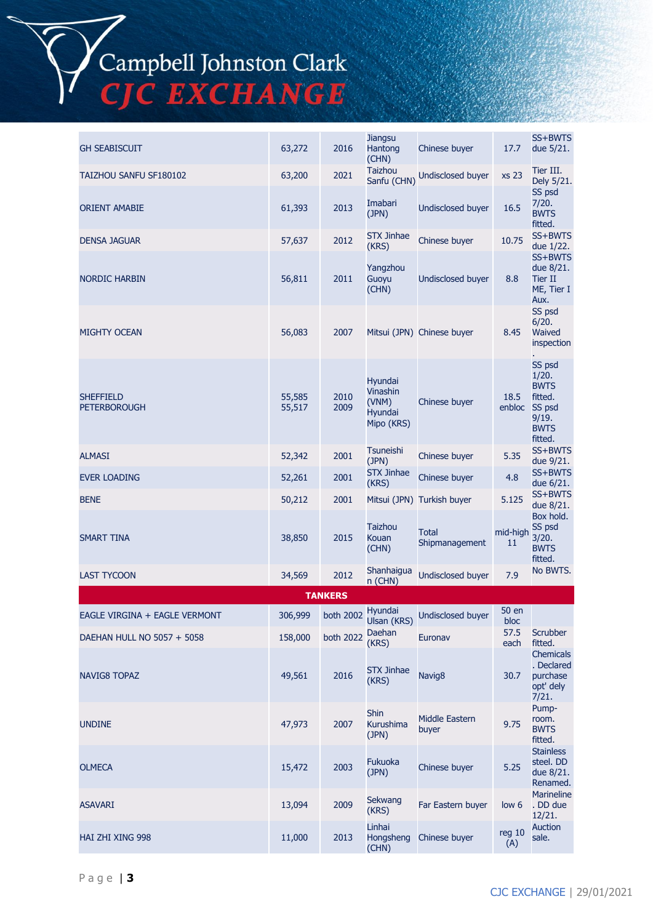# Campbell Johnston Clark<br>CJC EXCHANGE

| <b>GH SEABISCUIT</b>                    | 63,272           | 2016           | <b>Jiangsu</b><br>Hantong<br>(CHN)                           | Chinese buyer                  | 17.7                 | SS+BWTS<br>due 5/21.                                                                   |
|-----------------------------------------|------------------|----------------|--------------------------------------------------------------|--------------------------------|----------------------|----------------------------------------------------------------------------------------|
| TAIZHOU SANFU SF180102                  | 63,200           | 2021           | <b>Taizhou</b><br>Sanfu (CHN)                                | Undisclosed buyer              | xs 23                | Tier III.<br>Dely 5/21.                                                                |
| <b>ORIENT AMABIE</b>                    | 61,393           | 2013           | Imabari<br>(JPN)                                             | <b>Undisclosed buyer</b>       | 16.5                 | SS psd<br>7/20.<br><b>BWTS</b><br>fitted.                                              |
| <b>DENSA JAGUAR</b>                     | 57,637           | 2012           | STX Jinhae<br>(KRS)                                          | Chinese buyer                  | 10.75                | SS+BWTS<br>due 1/22.                                                                   |
| <b>NORDIC HARBIN</b>                    | 56,811           | 2011           | Yangzhou<br>Guoyu<br>(CHN)                                   | <b>Undisclosed buyer</b>       | 8.8                  | SS+BWTS<br>due 8/21.<br>Tier II<br>ME, Tier I<br>Aux.                                  |
| <b>MIGHTY OCEAN</b>                     | 56,083           | 2007           |                                                              | Mitsui (JPN) Chinese buyer     | 8.45                 | SS psd<br>6/20.<br>Waived<br>inspection                                                |
| <b>SHEFFIELD</b><br><b>PETERBOROUGH</b> | 55,585<br>55,517 | 2010<br>2009   | Hyundai<br>Vinashin<br>(VNM)<br><b>Hyundai</b><br>Mipo (KRS) | Chinese buyer                  | 18.5<br>enbloc       | SS psd<br>1/20.<br><b>BWTS</b><br>fitted.<br>SS psd<br>9/19.<br><b>BWTS</b><br>fitted. |
| <b>ALMASI</b>                           | 52,342           | 2001           | Tsuneishi<br>(JPN)                                           | Chinese buyer                  | 5.35                 | SS+BWTS<br>due 9/21.                                                                   |
| <b>EVER LOADING</b>                     | 52,261           | 2001           | <b>STX Jinhae</b><br>(KRS)                                   | Chinese buyer                  | 4.8                  | SS+BWTS<br>due 6/21.                                                                   |
| <b>BENE</b>                             | 50,212           | 2001           |                                                              | Mitsui (JPN) Turkish buyer     | 5.125                | SS+BWTS<br>due 8/21.                                                                   |
| SMART TINA                              | 38,850           | 2015           | Taizhou<br>Kouan<br>(CHN)                                    | Total<br>Shipmanagement        | mid-high<br>11       | Box hold.<br>SS psd<br>3/20.<br><b>BWTS</b><br>fitted.                                 |
| <b>LAST TYCOON</b>                      | 34,569           | 2012           | Shanhaigua<br>n (CHN)                                        | Undisclosed buyer              | 7.9                  | No BWTS.                                                                               |
|                                         |                  | <b>TANKERS</b> |                                                              |                                |                      |                                                                                        |
| EAGLE VIRGINA + EAGLE VERMONT           | 306,999          |                | Hyundai<br>both 2002 Ulsan (KRS)                             | <b>Undisclosed buyer</b>       | <b>50 en</b><br>bloc |                                                                                        |
| DAEHAN HULL NO 5057 + 5058              | 158,000          | both 2022      | Daehan<br>(KRS)                                              | Euronav                        | 57.5<br>each         | <b>Scrubber</b><br>fitted.                                                             |
| NAVIG8 TOPAZ                            | 49,561           | 2016           | <b>STX Jinhae</b><br>(KRS)                                   | Navig <sub>8</sub>             | 30.7                 | <b>Chemicals</b><br>. Declared<br>purchase<br>opt' dely<br>7/21.                       |
| <b>UNDINE</b>                           | 47,973           | 2007           | Shin<br>Kurushima<br>(JPN)                                   | <b>Middle Eastern</b><br>buyer | 9.75                 | Pump-<br>room.<br><b>BWTS</b><br>fitted.                                               |
| <b>OLMECA</b>                           | 15,472           | 2003           | <b>Fukuoka</b><br>(JPN)                                      | Chinese buyer                  | 5.25                 | <b>Stainless</b><br>steel. DD<br>due 8/21.<br>Renamed.                                 |
| <b>ASAVARI</b>                          | 13,094           | 2009           | Sekwang<br>(KRS)                                             | Far Eastern buyer              | low <sub>6</sub>     | <b>Marineline</b><br>. DD due<br>12/21.                                                |
| HAI ZHI XING 998                        | 11,000           | 2013           | Linhai<br>Hongsheng<br>(CHN)                                 | Chinese buyer                  | reg 10<br>(A)        | <b>Auction</b><br>sale.                                                                |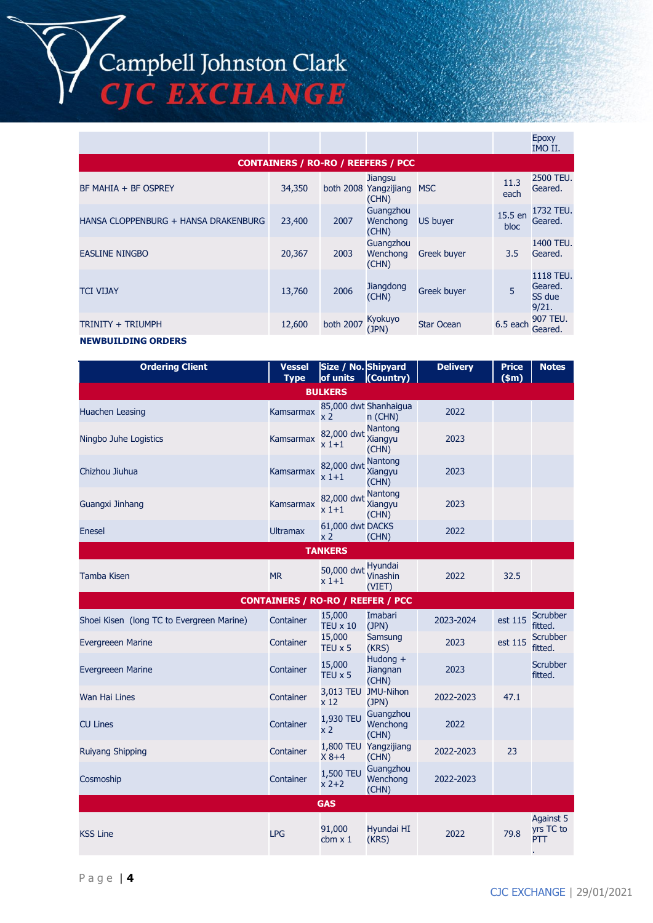Campbell Johnston Clark **CIC EXCHANGE** 

|                                      |        |                  |                                           |                    |                 | <b>Epoxy</b><br>IMO II.                 |
|--------------------------------------|--------|------------------|-------------------------------------------|--------------------|-----------------|-----------------------------------------|
|                                      |        |                  | <b>CONTAINERS / RO-RO / REEFERS / PCC</b> |                    |                 |                                         |
| BF MAHIA + BF OSPREY                 | 34,350 |                  | Jiangsu<br>both 2008 Yangzijiang<br>(CHN) | <b>MSC</b>         | 11.3<br>each    | 2500 TEU.<br>Geared.                    |
| HANSA CLOPPENBURG + HANSA DRAKENBURG | 23,400 | 2007             | Guangzhou<br>Wenchong<br>(CHN)            | <b>US buyer</b>    | 15.5 en<br>bloc | 1732 TEU.<br>Geared.                    |
| <b>EASLINE NINGBO</b>                | 20,367 | 2003             | Guangzhou<br>Wenchong<br>(CHN)            | <b>Greek buyer</b> | 3.5             | 1400 TEU.<br>Geared.                    |
| <b>TCI VIJAY</b>                     | 13,760 | 2006             | Jiangdong<br>(CHN)                        | <b>Greek buyer</b> | 5               | 1118 TEU.<br>Geared.<br>SS due<br>9/21. |
| TRINITY + TRIUMPH                    | 12,600 | <b>both 2007</b> | Kyokuyo<br>(JPN)                          | <b>Star Ocean</b>  | 6.5 each        | 907 TEU.<br>Geared.                     |
| <b>NEWBUILDING ORDERS</b>            |        |                  |                                           |                    |                 |                                         |

#### **Ordering Client Vessel Type Size / No. of units Shipyard (Country) Delivery (\$m) Notes BULKERS** Huachen Leasing Kamsarmax 85,000 dwt  $x<sub>2</sub>$ 85,000 dwt Shanhaigua Shahhalgua<br>n (CHN) 2022 Ningbo Juhe Logistics Kamsarmax 82,000 dwt Nantong<br>Kamsarmax 82,000 dwt Xiangyu x 1+1 Nantong Xiangyu (CHN) 2023 Chizhou Jiuhua Kamsarmax 82,000 dwt Nantong  $x\overline{1}+1$ Xiangyu (CHN) 2023 Guangxi Jinhang Kamsarmax 82,000 dwt Xiangyu x 1+1 Nantong (CHN) 2023 Enesel Ultramax 61,000 dwt x 2 61,000 dwt DACKS  $\angle$ CHN) 2022 **TANKERS** Tamba Kisen MR 50,000 dwt <sup>Hyundai</sup><br>MR 50,000 dwt Vinashin  $x\overline{1}+1$ Vinashin (VIET) 2022 32.5 **CONTAINERS / RO-RO / REEFER / PCC** Shoei Kisen (long TC to Evergreen Marine) Container 15,000 TEU x 10 Imabari Imabari 2023-2024 est 115 Scrubber<br>(JPN) 2023-2024 est 115 fitted. fitted. Evergreeen Marine Container 15,000 TEU x 5 **Samsung** Samsung 2023 est 115 Scrubber<br>(KRS) 2023 est 115 fitted. fitted. Evergreeen Marine Container 15,000 TEU x 5 Hudong + **Jiangnan** (CHN) <sup>2023</sup> Scrubber fitted. Wan Hai Lines **Container** 3,013 TEU 2013 TEU 3,013 TEU 3,013 TEU 3,013 TEU 3,013 TEU 3,013 TEU 3,013 TEU 3,013 TEU x 12 3,013 TEU JMU-Nihon JPN) 2022-2023 47.1 CU Lines Container 1,930 TEU Guangzhou<br>
X 2 (CHN) Guangzhou (CHN) 2022 Ruiyang Shipping **Container** 1,800 TEU Container X 8+4 1,800 TEU Yangzijiang rangzijiang 2022-2023 23<br>(CHN) Cosmoship Container 1,500 TEU  $x^2 + 2$ **Guangzhou Wenchong** (CHN) 2022-2023 **GAS**  $\begin{array}{ccc} \text{KSS Line} & 91,000 \\ \text{LPG} & \text{chm} & 1.000 \end{array}$ cbm x 1 Hyundai HI Hyundai HI 2022 79.8 Against 5 yrs TC to PTT .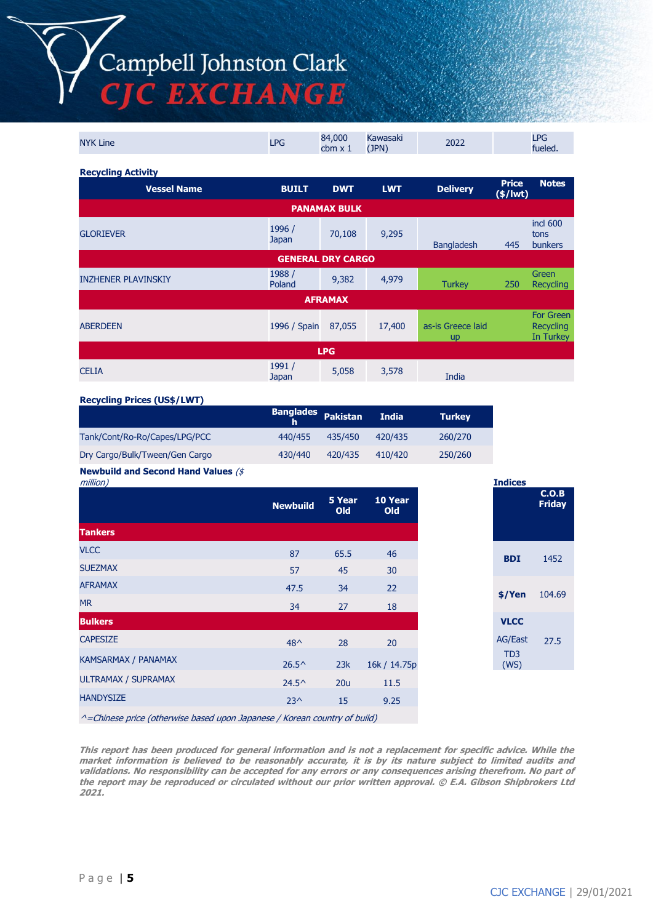# Campbell Johnston Clark **EXCHANGE**

NYK Line  $\begin{array}{ccc} 84,000 \end{array}$ cbm x 1 Kawasaki<br>(JPN) (JPN) <sup>2022</sup> LPG fueled. **Recycling Activity Vessel Name BUILT DWT LWT Delivery Price (\$/lwt) Notes PANAMAX BULK** GLORIEVER بالمستخدم المستخدم المستخدم المستخدم المستخدم المستخدم المستخدم المستخدم المستخدم المستخدم المستخدم<br>المستخدم المستخدم المستخدم المستخدم المستخدم المستخدم المستخدم المستخدم المستخدم المستخدم المستخدم المستخدم ال 70,108 9,295 Bangladesh 445 incl 600 tons bunkers **GENERAL DRY CARGO** INZHENER PLAVINSKIY 1988 / 1988 / 1988 / 1988 / 1988 / 1988 / 1988 / 1988 / 1988 / 1988 / 1988 / 1988 / 1988 / Poland 9,382 4,979 Turkey <sup>250</sup> Green Recycling **AFRAMAX** ABERDEEN 1996 / Spain 87,055 17,400 as-is Greece laid up For Green **Recycling** In Turkey **LPG** CELIA 1991 / Japan 5,058 3,578 India

#### **Recycling Prices (US\$/LWT)**

|                                | <b>Banglades</b> Pakistan |         | <b>India</b> | <b>Turkey</b> |
|--------------------------------|---------------------------|---------|--------------|---------------|
| Tank/Cont/Ro-Ro/Capes/LPG/PCC  | 440/455                   | 435/450 | 420/435      | 260/270       |
| Dry Cargo/Bulk/Tween/Gen Cargo | 430/440                   | 420/435 | 410/420      | 250/260       |

#### **Newbuild and Second Hand Values** (\$

| million)                                                                  |                 |                      |                |
|---------------------------------------------------------------------------|-----------------|----------------------|----------------|
|                                                                           | <b>Newbuild</b> | 5 Year<br><b>Old</b> | 10 Year<br>Old |
| <b>Tankers</b>                                                            |                 |                      |                |
| <b>VLCC</b>                                                               | 87              | 65.5                 | 46             |
| <b>SUEZMAX</b>                                                            | 57              | 45                   | 30             |
| <b>AFRAMAX</b>                                                            | 47.5            | 34                   | 22             |
| <b>MR</b>                                                                 | 34              | 27                   | 18             |
| <b>Bulkers</b>                                                            |                 |                      |                |
| <b>CAPESIZE</b>                                                           | $48^{\wedge}$   | 28                   | 20             |
| <b>KAMSARMAX / PANAMAX</b>                                                | $26.5^{\circ}$  | 23k                  | 16k / 14.75p   |
| ULTRAMAX / SUPRAMAX                                                       | $24.5^{\circ}$  | 20u                  | 11.5           |
| <b>HANDYSIZE</b>                                                          | $23^{\wedge}$   | 15                   | 9.25           |
| ^=Chinese price (otherwise based upon Japanese / Korean country of build) |                 |                      |                |

**This report has been produced for general information and is not a replacement for specific advice. While the market information is believed to be reasonably accurate, it is by its nature subject to limited audits and validations. No responsibility can be accepted for any errors or any consequences arising therefrom. No part of the report may be reproduced or circulated without our prior written approval. © E.A. Gibson Shipbrokers Ltd 2021.**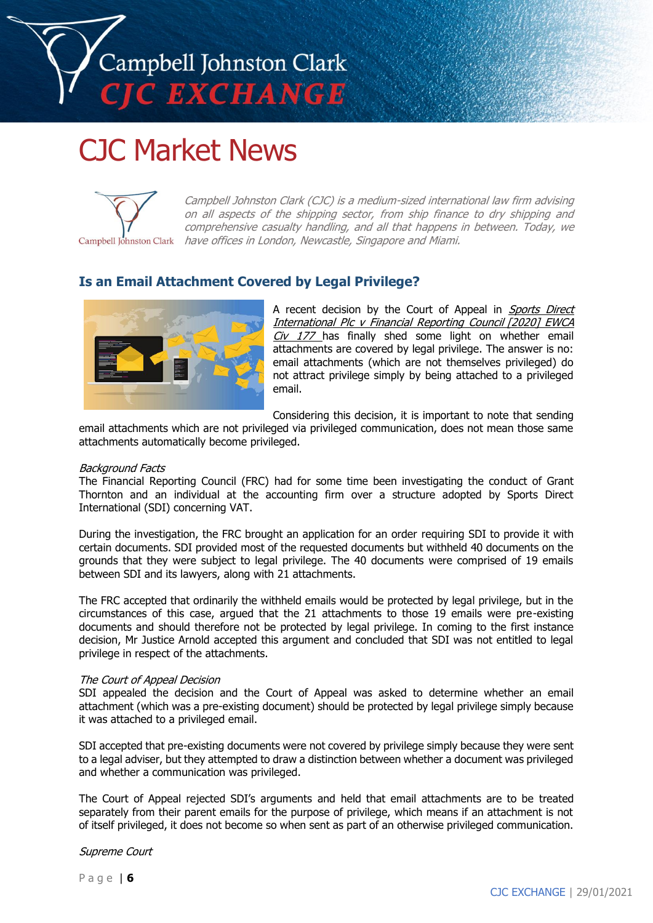

# CJC Market News



Campbell Johnston Clark (CJC) is a medium-sized international law firm advising on all aspects of the shipping sector, from ship finance to dry shipping and comprehensive casualty handling, and all that happens in between. Today, we Campbell Johnston Clark have offices in London, Newcastle, Singapore and Miami.

# **Is an Email Attachment Covered by Legal Privilege?**



A recent decision by the Court of Appeal in Sports Direct International Plc v Financial Reporting Council [2020] EWCA  $C_V$  177 has finally shed some light on whether email attachments are covered by legal privilege. The answer is no: email attachments (which are not themselves privileged) do not attract privilege simply by being attached to a privileged email.

Considering this decision, it is important to note that sending

email attachments which are not privileged via privileged communication, does not mean those same attachments automatically become privileged.

#### Background Facts

The Financial Reporting Council (FRC) had for some time been investigating the conduct of Grant Thornton and an individual at the accounting firm over a structure adopted by Sports Direct International (SDI) concerning VAT.

During the investigation, the FRC brought an application for an order requiring SDI to provide it with certain documents. SDI provided most of the requested documents but withheld 40 documents on the grounds that they were subject to legal privilege. The 40 documents were comprised of 19 emails between SDI and its lawyers, along with 21 attachments.

The FRC accepted that ordinarily the withheld emails would be protected by legal privilege, but in the circumstances of this case, argued that the 21 attachments to those 19 emails were pre-existing documents and should therefore not be protected by legal privilege. In coming to the first instance decision, Mr Justice Arnold accepted this argument and concluded that SDI was not entitled to legal privilege in respect of the attachments.

#### The Court of Appeal Decision

SDI appealed the decision and the Court of Appeal was asked to determine whether an email attachment (which was a pre-existing document) should be protected by legal privilege simply because it was attached to a privileged email.

SDI accepted that pre-existing documents were not covered by privilege simply because they were sent to a legal adviser, but they attempted to draw a distinction between whether a document was privileged and whether a communication was privileged.

The Court of Appeal rejected SDI's arguments and held that email attachments are to be treated separately from their parent emails for the purpose of privilege, which means if an attachment is not of itself privileged, it does not become so when sent as part of an otherwise privileged communication.

Supreme Court

P a g e | **6**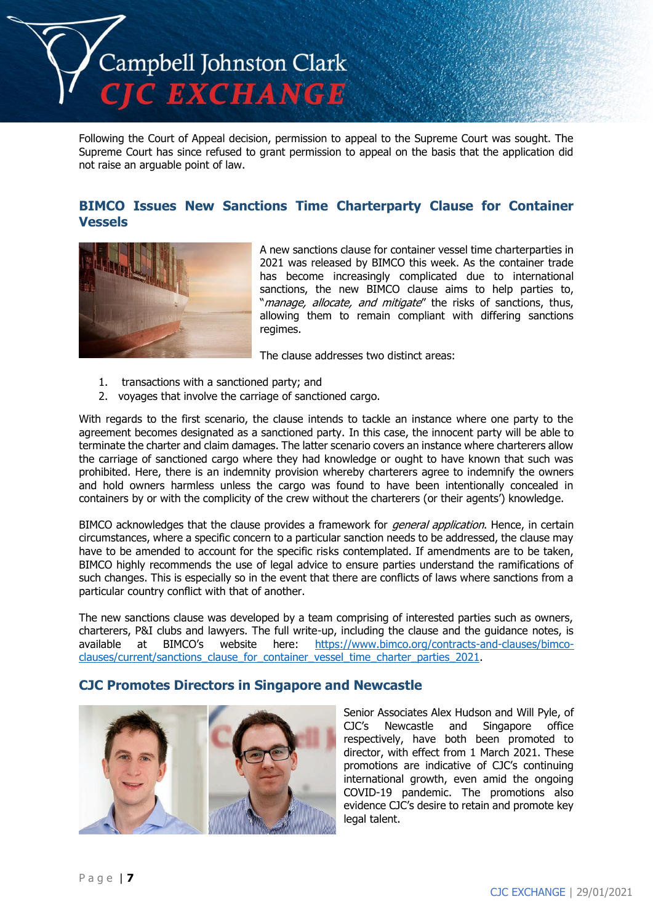

Following the Court of Appeal decision, permission to appeal to the Supreme Court was sought. The Supreme Court has since refused to grant permission to appeal on the basis that the application did not raise an arguable point of law.

# **BIMCO Issues New Sanctions Time Charterparty Clause for Container Vessels**



A new sanctions clause for container vessel time charterparties in 2021 was released by BIMCO this week. As the container trade has become increasingly complicated due to international sanctions, the new BIMCO clause aims to help parties to, "manage, allocate, and mitigate" the risks of sanctions, thus, allowing them to remain compliant with differing sanctions regimes.

The clause addresses two distinct areas:

- 1. transactions with a sanctioned party; and
- 2. voyages that involve the carriage of sanctioned cargo.

With regards to the first scenario, the clause intends to tackle an instance where one party to the agreement becomes designated as a sanctioned party. In this case, the innocent party will be able to terminate the charter and claim damages. The latter scenario covers an instance where charterers allow the carriage of sanctioned cargo where they had knowledge or ought to have known that such was prohibited. Here, there is an indemnity provision whereby charterers agree to indemnify the owners and hold owners harmless unless the cargo was found to have been intentionally concealed in containers by or with the complicity of the crew without the charterers (or their agents') knowledge.

BIMCO acknowledges that the clause provides a framework for *general application*. Hence, in certain circumstances, where a specific concern to a particular sanction needs to be addressed, the clause may have to be amended to account for the specific risks contemplated. If amendments are to be taken, BIMCO highly recommends the use of legal advice to ensure parties understand the ramifications of such changes. This is especially so in the event that there are conflicts of laws where sanctions from a particular country conflict with that of another.

The new sanctions clause was developed by a team comprising of interested parties such as owners, charterers, P&I clubs and lawyers. The full write-up, including the clause and the guidance notes, is available at BIMCO's website here: [https://www.bimco.org/contracts-and-clauses/bimco](https://www.bimco.org/contracts-and-clauses/bimco-clauses/current/sanctions_clause_for_container_vessel_time_charter_parties_2021)[clauses/current/sanctions\\_clause\\_for\\_container\\_vessel\\_time\\_charter\\_parties\\_2021.](https://www.bimco.org/contracts-and-clauses/bimco-clauses/current/sanctions_clause_for_container_vessel_time_charter_parties_2021)

# **CJC Promotes Directors in Singapore and Newcastle**



Senior Associates Alex Hudson and Will Pyle, of CJC's Newcastle and Singapore office respectively, have both been promoted to director, with effect from 1 March 2021. These promotions are indicative of CJC's continuing international growth, even amid the ongoing COVID-19 pandemic. The promotions also evidence CJC's desire to retain and promote key legal talent.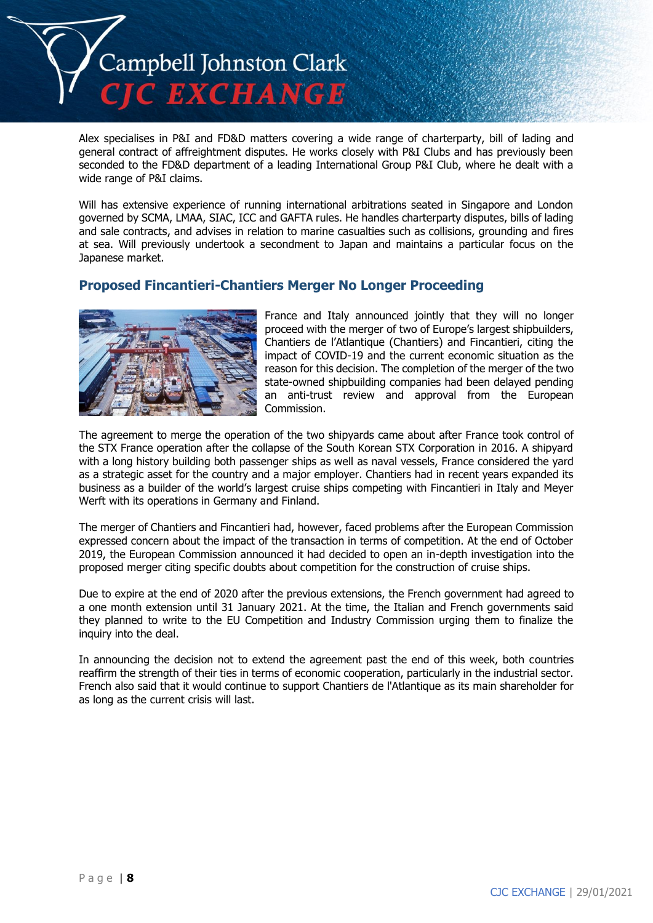

Alex specialises in P&I and FD&D matters covering a wide range of charterparty, bill of lading and general contract of affreightment disputes. He works closely with P&I Clubs and has previously been seconded to the FD&D department of a leading International Group P&I Club, where he dealt with a wide range of P&I claims.

Will has extensive experience of running international arbitrations seated in Singapore and London governed by SCMA, LMAA, SIAC, ICC and GAFTA rules. He handles charterparty disputes, bills of lading and sale contracts, and advises in relation to marine casualties such as collisions, grounding and fires at sea. Will previously undertook a secondment to Japan and maintains a particular focus on the Japanese market.

## **Proposed Fincantieri-Chantiers Merger No Longer Proceeding**



France and Italy announced jointly that they will no longer proceed with the merger of two of Europe's largest shipbuilders, Chantiers de l'Atlantique (Chantiers) and Fincantieri, citing the impact of COVID-19 and the current economic situation as the reason for this decision. The completion of the merger of the two state-owned shipbuilding companies had been delayed pending an anti-trust review and approval from the European Commission.

The agreement to merge the operation of the two shipyards came about after France took control of the STX France operation after the collapse of the South Korean STX Corporation in 2016. A shipyard with a long history building both passenger ships as well as naval vessels, France considered the yard as a strategic asset for the country and a major employer. Chantiers had in recent years expanded its business as a builder of the world's largest cruise ships competing with Fincantieri in Italy and Meyer Werft with its operations in Germany and Finland.

The merger of Chantiers and Fincantieri had, however, faced problems after the European Commission expressed concern about the impact of the transaction in terms of competition. At the end of October 2019, the European Commission announced it had decided to open an in-depth investigation into the proposed merger citing specific doubts about competition for the construction of cruise ships.

Due to expire at the end of 2020 after the previous extensions, the French government had agreed to a one month extension until 31 January 2021. At the time, the Italian and French governments said they planned to write to the EU Competition and Industry Commission urging them to finalize the inquiry into the deal.

In announcing the decision not to extend the agreement past the end of this week, both countries reaffirm the strength of their ties in terms of economic cooperation, particularly in the industrial sector. French also said that it would continue to support Chantiers de l'Atlantique as its main shareholder for as long as the current crisis will last.